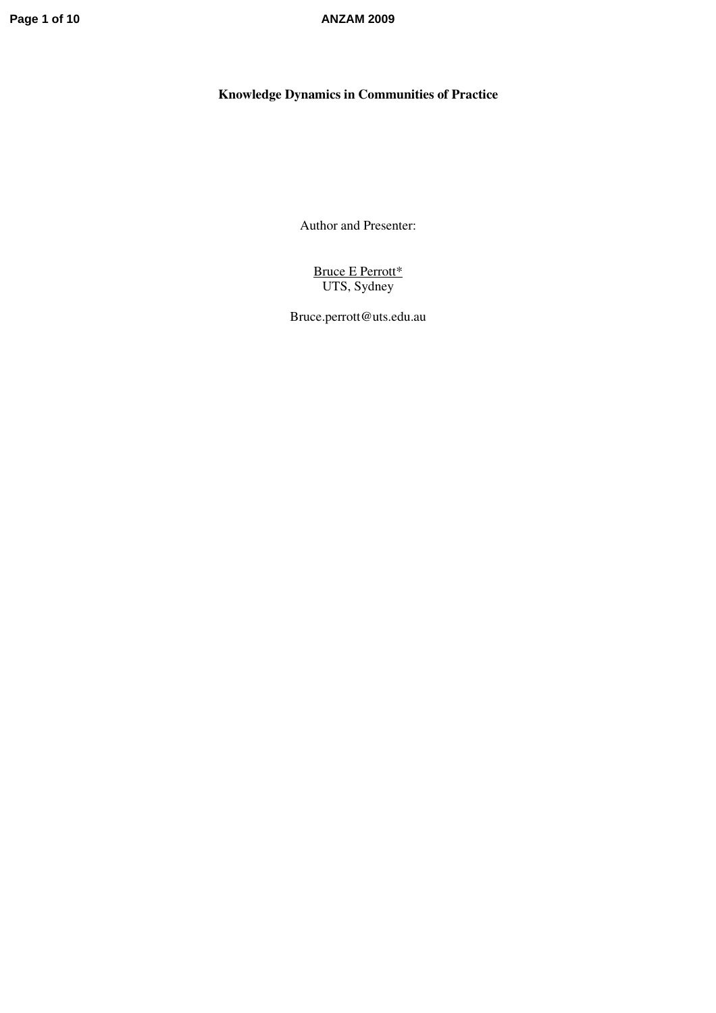# **Knowledge Dynamics in Communities of Practice**

Author and Presenter:

Bruce E Perrott\* UTS, Sydney

Bruce.perrott@uts.edu.au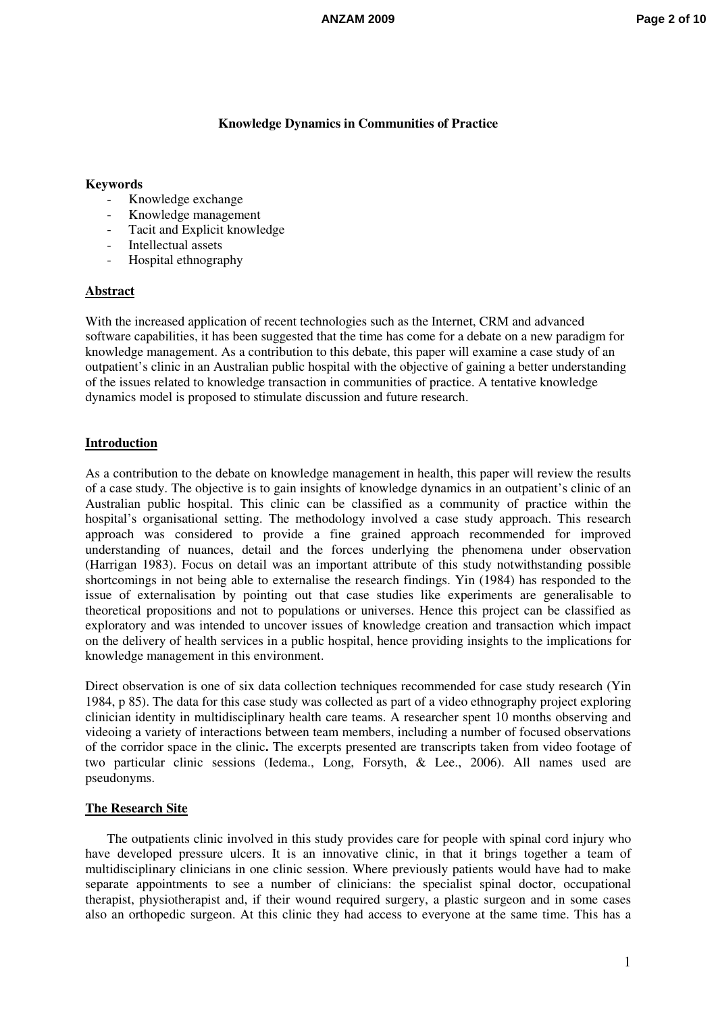## **Knowledge Dynamics in Communities of Practice**

## **Keywords**

- Knowledge exchange
- Knowledge management
- Tacit and Explicit knowledge
- Intellectual assets
- Hospital ethnography

## **Abstract**

With the increased application of recent technologies such as the Internet, CRM and advanced software capabilities, it has been suggested that the time has come for a debate on a new paradigm for knowledge management. As a contribution to this debate, this paper will examine a case study of an outpatient's clinic in an Australian public hospital with the objective of gaining a better understanding of the issues related to knowledge transaction in communities of practice. A tentative knowledge dynamics model is proposed to stimulate discussion and future research.

## **Introduction**

As a contribution to the debate on knowledge management in health, this paper will review the results of a case study. The objective is to gain insights of knowledge dynamics in an outpatient's clinic of an Australian public hospital. This clinic can be classified as a community of practice within the hospital's organisational setting. The methodology involved a case study approach. This research approach was considered to provide a fine grained approach recommended for improved understanding of nuances, detail and the forces underlying the phenomena under observation (Harrigan 1983). Focus on detail was an important attribute of this study notwithstanding possible shortcomings in not being able to externalise the research findings. Yin (1984) has responded to the issue of externalisation by pointing out that case studies like experiments are generalisable to theoretical propositions and not to populations or universes. Hence this project can be classified as exploratory and was intended to uncover issues of knowledge creation and transaction which impact on the delivery of health services in a public hospital, hence providing insights to the implications for knowledge management in this environment.

Direct observation is one of six data collection techniques recommended for case study research (Yin 1984, p 85). The data for this case study was collected as part of a video ethnography project exploring clinician identity in multidisciplinary health care teams. A researcher spent 10 months observing and videoing a variety of interactions between team members, including a number of focused observations of the corridor space in the clinic**.** The excerpts presented are transcripts taken from video footage of two particular clinic sessions (Iedema., Long, Forsyth, & Lee., 2006). All names used are pseudonyms.

## **The Research Site**

The outpatients clinic involved in this study provides care for people with spinal cord injury who have developed pressure ulcers. It is an innovative clinic, in that it brings together a team of multidisciplinary clinicians in one clinic session. Where previously patients would have had to make separate appointments to see a number of clinicians: the specialist spinal doctor, occupational therapist, physiotherapist and, if their wound required surgery, a plastic surgeon and in some cases also an orthopedic surgeon. At this clinic they had access to everyone at the same time. This has a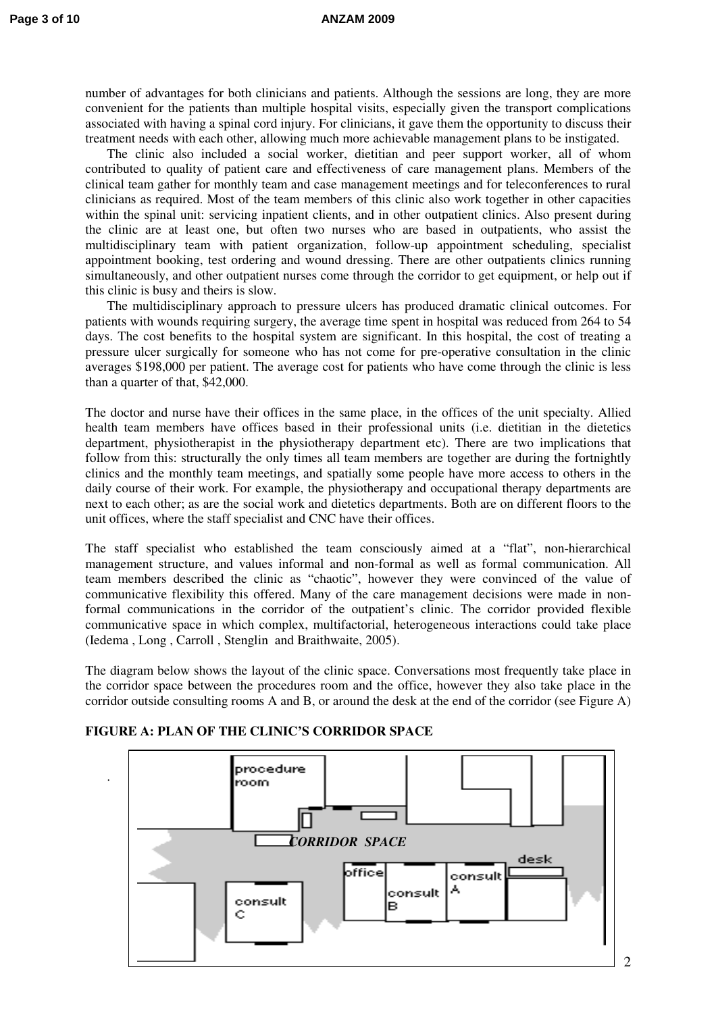#### **Page 3 of 10 ANZAM 2009**

number of advantages for both clinicians and patients. Although the sessions are long, they are more convenient for the patients than multiple hospital visits, especially given the transport complications associated with having a spinal cord injury. For clinicians, it gave them the opportunity to discuss their treatment needs with each other, allowing much more achievable management plans to be instigated.

The clinic also included a social worker, dietitian and peer support worker, all of whom contributed to quality of patient care and effectiveness of care management plans. Members of the clinical team gather for monthly team and case management meetings and for teleconferences to rural clinicians as required. Most of the team members of this clinic also work together in other capacities within the spinal unit: servicing inpatient clients, and in other outpatient clinics. Also present during the clinic are at least one, but often two nurses who are based in outpatients, who assist the multidisciplinary team with patient organization, follow-up appointment scheduling, specialist appointment booking, test ordering and wound dressing. There are other outpatients clinics running simultaneously, and other outpatient nurses come through the corridor to get equipment, or help out if this clinic is busy and theirs is slow.

The multidisciplinary approach to pressure ulcers has produced dramatic clinical outcomes. For patients with wounds requiring surgery, the average time spent in hospital was reduced from 264 to 54 days. The cost benefits to the hospital system are significant. In this hospital, the cost of treating a pressure ulcer surgically for someone who has not come for pre-operative consultation in the clinic averages \$198,000 per patient. The average cost for patients who have come through the clinic is less than a quarter of that, \$42,000.

The doctor and nurse have their offices in the same place, in the offices of the unit specialty. Allied health team members have offices based in their professional units (i.e. dietitian in the dietetics department, physiotherapist in the physiotherapy department etc). There are two implications that follow from this: structurally the only times all team members are together are during the fortnightly clinics and the monthly team meetings, and spatially some people have more access to others in the daily course of their work. For example, the physiotherapy and occupational therapy departments are next to each other; as are the social work and dietetics departments. Both are on different floors to the unit offices, where the staff specialist and CNC have their offices.

The staff specialist who established the team consciously aimed at a "flat", non-hierarchical management structure, and values informal and non-formal as well as formal communication. All team members described the clinic as "chaotic", however they were convinced of the value of communicative flexibility this offered. Many of the care management decisions were made in nonformal communications in the corridor of the outpatient's clinic. The corridor provided flexible communicative space in which complex, multifactorial, heterogeneous interactions could take place (Iedema , Long , Carroll , Stenglin and Braithwaite, 2005).

The diagram below shows the layout of the clinic space. Conversations most frequently take place in the corridor space between the procedures room and the office, however they also take place in the corridor outside consulting rooms A and B, or around the desk at the end of the corridor (see Figure A)

## **FIGURE A: PLAN OF THE CLINIC'S CORRIDOR SPACE**

.

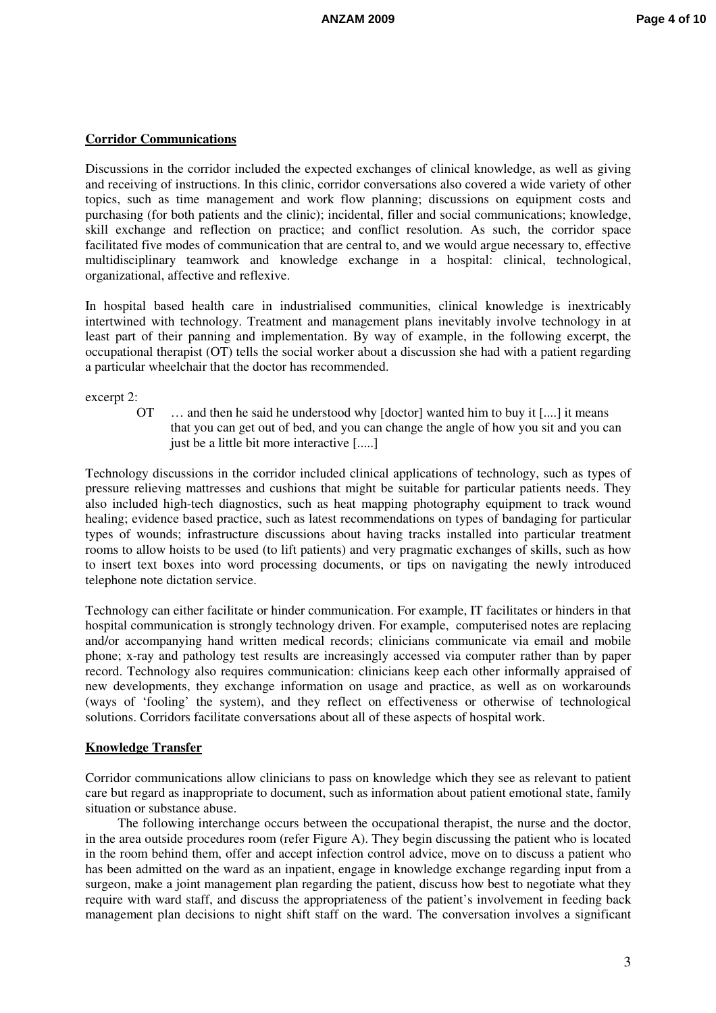## **Corridor Communications**

Discussions in the corridor included the expected exchanges of clinical knowledge, as well as giving and receiving of instructions. In this clinic, corridor conversations also covered a wide variety of other topics, such as time management and work flow planning; discussions on equipment costs and purchasing (for both patients and the clinic); incidental, filler and social communications; knowledge, skill exchange and reflection on practice; and conflict resolution. As such, the corridor space facilitated five modes of communication that are central to, and we would argue necessary to, effective multidisciplinary teamwork and knowledge exchange in a hospital: clinical, technological, organizational, affective and reflexive.

In hospital based health care in industrialised communities, clinical knowledge is inextricably intertwined with technology. Treatment and management plans inevitably involve technology in at least part of their panning and implementation. By way of example, in the following excerpt, the occupational therapist (OT) tells the social worker about a discussion she had with a patient regarding a particular wheelchair that the doctor has recommended.

excerpt 2:

OT … and then he said he understood why [doctor] wanted him to buy it [....] it means that you can get out of bed, and you can change the angle of how you sit and you can just be a little bit more interactive [.....]

Technology discussions in the corridor included clinical applications of technology, such as types of pressure relieving mattresses and cushions that might be suitable for particular patients needs. They also included high-tech diagnostics, such as heat mapping photography equipment to track wound healing; evidence based practice, such as latest recommendations on types of bandaging for particular types of wounds; infrastructure discussions about having tracks installed into particular treatment rooms to allow hoists to be used (to lift patients) and very pragmatic exchanges of skills, such as how to insert text boxes into word processing documents, or tips on navigating the newly introduced telephone note dictation service.

Technology can either facilitate or hinder communication. For example, IT facilitates or hinders in that hospital communication is strongly technology driven. For example, computerised notes are replacing and/or accompanying hand written medical records; clinicians communicate via email and mobile phone; x-ray and pathology test results are increasingly accessed via computer rather than by paper record. Technology also requires communication: clinicians keep each other informally appraised of new developments, they exchange information on usage and practice, as well as on workarounds (ways of 'fooling' the system), and they reflect on effectiveness or otherwise of technological solutions. Corridors facilitate conversations about all of these aspects of hospital work.

## **Knowledge Transfer**

Corridor communications allow clinicians to pass on knowledge which they see as relevant to patient care but regard as inappropriate to document, such as information about patient emotional state, family situation or substance abuse.

The following interchange occurs between the occupational therapist, the nurse and the doctor, in the area outside procedures room (refer Figure A). They begin discussing the patient who is located in the room behind them, offer and accept infection control advice, move on to discuss a patient who has been admitted on the ward as an inpatient, engage in knowledge exchange regarding input from a surgeon, make a joint management plan regarding the patient, discuss how best to negotiate what they require with ward staff, and discuss the appropriateness of the patient's involvement in feeding back management plan decisions to night shift staff on the ward. The conversation involves a significant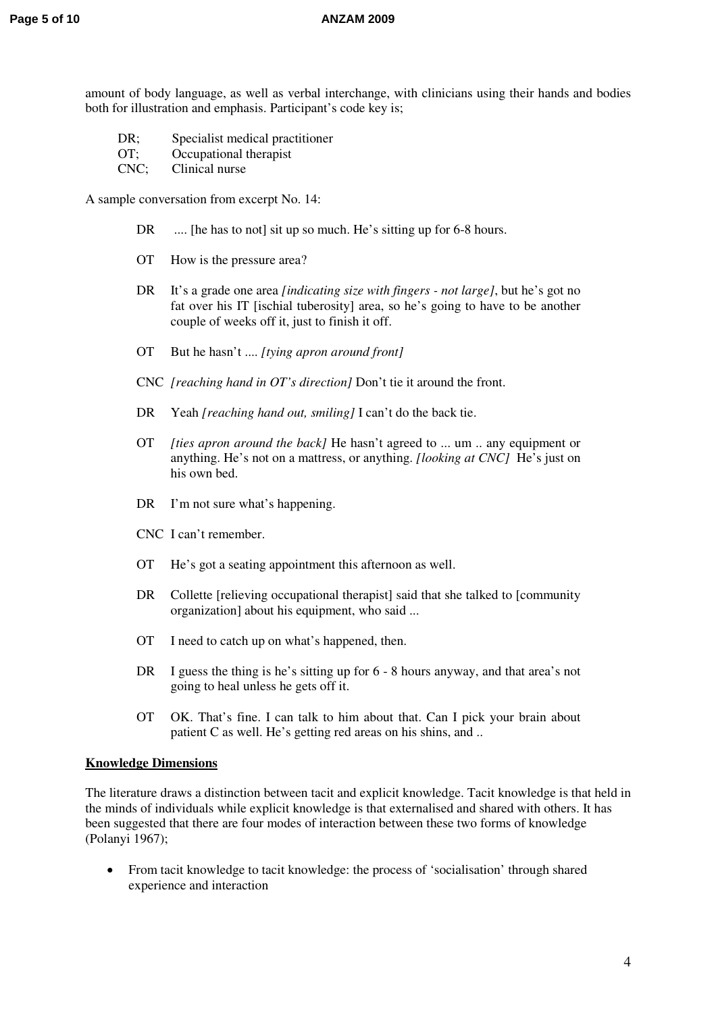#### **Page 5 of 10 ANZAM 2009**

amount of body language, as well as verbal interchange, with clinicians using their hands and bodies both for illustration and emphasis. Participant's code key is;

- DR; Specialist medical practitioner
- OT; Occupational therapist
- CNC; Clinical nurse

A sample conversation from excerpt No. 14:

- DR .... [he has to not] sit up so much. He's sitting up for 6-8 hours.
- OT How is the pressure area?
- DR It's a grade one area *[indicating size with fingers not large]*, but he's got no fat over his IT [ischial tuberosity] area, so he's going to have to be another couple of weeks off it, just to finish it off.
- OT But he hasn't .... *[tying apron around front]*
- CNC *[reaching hand in OT's direction]* Don't tie it around the front.
- DR Yeah *[reaching hand out, smiling]* I can't do the back tie.
- OT *[ties apron around the back]* He hasn't agreed to ... um .. any equipment or anything. He's not on a mattress, or anything. *[looking at CNC]* He's just on his own bed.
- DR I'm not sure what's happening.
- CNC I can't remember.
- OT He's got a seating appointment this afternoon as well.
- DR Collette [relieving occupational therapist] said that she talked to [community organization] about his equipment, who said ...
- OT I need to catch up on what's happened, then.
- DR I guess the thing is he's sitting up for 6 8 hours anyway, and that area's not going to heal unless he gets off it.
- OT OK. That's fine. I can talk to him about that. Can I pick your brain about patient C as well. He's getting red areas on his shins, and ..

#### **Knowledge Dimensions**

The literature draws a distinction between tacit and explicit knowledge. Tacit knowledge is that held in the minds of individuals while explicit knowledge is that externalised and shared with others. It has been suggested that there are four modes of interaction between these two forms of knowledge (Polanyi 1967);

• From tacit knowledge to tacit knowledge: the process of 'socialisation' through shared experience and interaction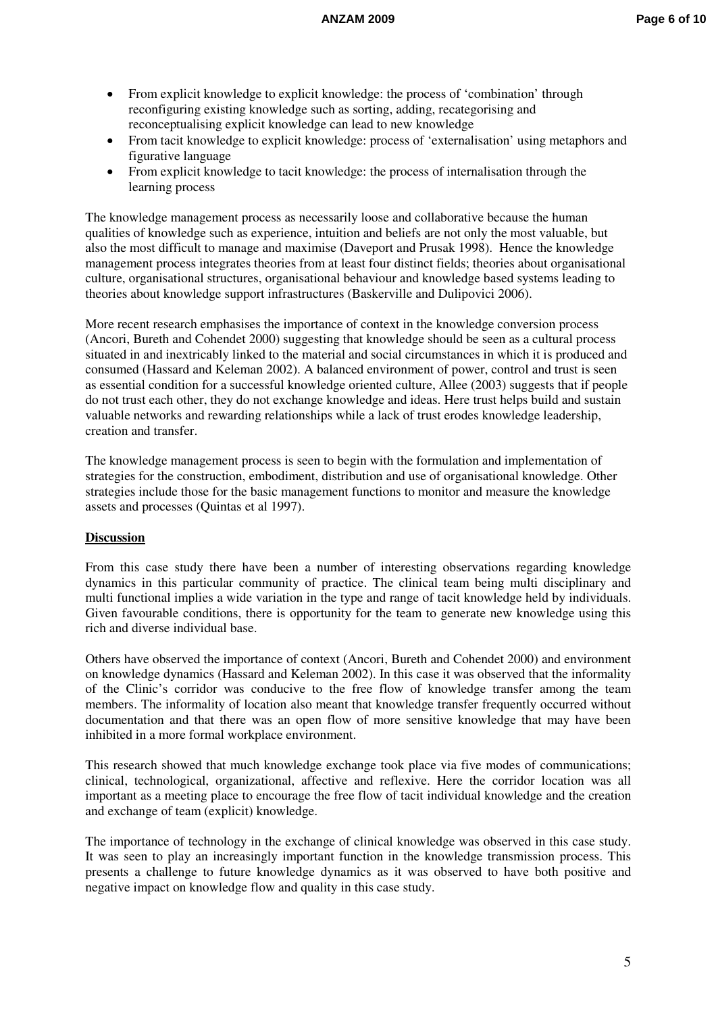- From explicit knowledge to explicit knowledge: the process of 'combination' through reconfiguring existing knowledge such as sorting, adding, recategorising and reconceptualising explicit knowledge can lead to new knowledge
- From tacit knowledge to explicit knowledge: process of 'externalisation' using metaphors and figurative language
- From explicit knowledge to tacit knowledge: the process of internalisation through the learning process

The knowledge management process as necessarily loose and collaborative because the human qualities of knowledge such as experience, intuition and beliefs are not only the most valuable, but also the most difficult to manage and maximise (Daveport and Prusak 1998). Hence the knowledge management process integrates theories from at least four distinct fields; theories about organisational culture, organisational structures, organisational behaviour and knowledge based systems leading to theories about knowledge support infrastructures (Baskerville and Dulipovici 2006).

More recent research emphasises the importance of context in the knowledge conversion process (Ancori, Bureth and Cohendet 2000) suggesting that knowledge should be seen as a cultural process situated in and inextricably linked to the material and social circumstances in which it is produced and consumed (Hassard and Keleman 2002). A balanced environment of power, control and trust is seen as essential condition for a successful knowledge oriented culture, Allee (2003) suggests that if people do not trust each other, they do not exchange knowledge and ideas. Here trust helps build and sustain valuable networks and rewarding relationships while a lack of trust erodes knowledge leadership, creation and transfer.

The knowledge management process is seen to begin with the formulation and implementation of strategies for the construction, embodiment, distribution and use of organisational knowledge. Other strategies include those for the basic management functions to monitor and measure the knowledge assets and processes (Quintas et al 1997).

## **Discussion**

From this case study there have been a number of interesting observations regarding knowledge dynamics in this particular community of practice. The clinical team being multi disciplinary and multi functional implies a wide variation in the type and range of tacit knowledge held by individuals. Given favourable conditions, there is opportunity for the team to generate new knowledge using this rich and diverse individual base.

Others have observed the importance of context (Ancori, Bureth and Cohendet 2000) and environment on knowledge dynamics (Hassard and Keleman 2002). In this case it was observed that the informality of the Clinic's corridor was conducive to the free flow of knowledge transfer among the team members. The informality of location also meant that knowledge transfer frequently occurred without documentation and that there was an open flow of more sensitive knowledge that may have been inhibited in a more formal workplace environment.

This research showed that much knowledge exchange took place via five modes of communications; clinical, technological, organizational, affective and reflexive. Here the corridor location was all important as a meeting place to encourage the free flow of tacit individual knowledge and the creation and exchange of team (explicit) knowledge.

The importance of technology in the exchange of clinical knowledge was observed in this case study. It was seen to play an increasingly important function in the knowledge transmission process. This presents a challenge to future knowledge dynamics as it was observed to have both positive and negative impact on knowledge flow and quality in this case study.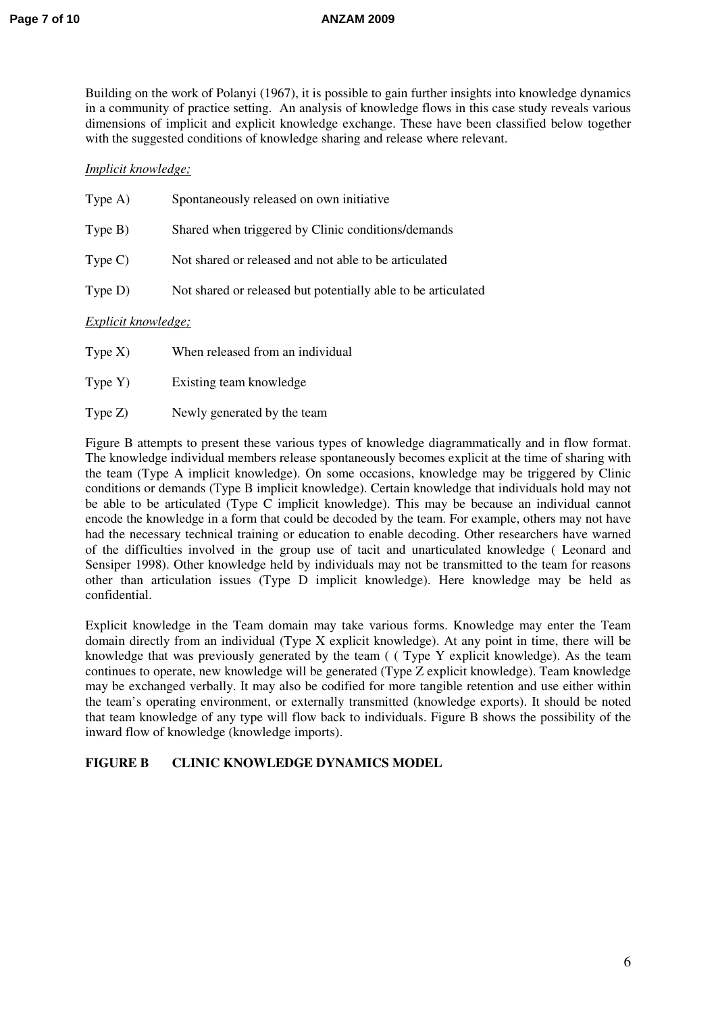#### **Page 7 of 10 ANZAM 2009**

Building on the work of Polanyi (1967), it is possible to gain further insights into knowledge dynamics in a community of practice setting. An analysis of knowledge flows in this case study reveals various dimensions of implicit and explicit knowledge exchange. These have been classified below together with the suggested conditions of knowledge sharing and release where relevant.

## *Implicit knowledge;*

| Type A)             | Spontaneously released on own initiative                      |
|---------------------|---------------------------------------------------------------|
| Type B)             | Shared when triggered by Clinic conditions/demands            |
| Type $C$ )          | Not shared or released and not able to be articulated         |
| Type D)             | Not shared or released but potentially able to be articulated |
| Explicit knowledge; |                                                               |
| Type $X$ )          | When released from an individual                              |

- Type Y) Existing team knowledge
- Type Z) Newly generated by the team

Figure B attempts to present these various types of knowledge diagrammatically and in flow format. The knowledge individual members release spontaneously becomes explicit at the time of sharing with the team (Type A implicit knowledge). On some occasions, knowledge may be triggered by Clinic conditions or demands (Type B implicit knowledge). Certain knowledge that individuals hold may not be able to be articulated (Type C implicit knowledge). This may be because an individual cannot encode the knowledge in a form that could be decoded by the team. For example, others may not have had the necessary technical training or education to enable decoding. Other researchers have warned of the difficulties involved in the group use of tacit and unarticulated knowledge ( Leonard and Sensiper 1998). Other knowledge held by individuals may not be transmitted to the team for reasons other than articulation issues (Type D implicit knowledge). Here knowledge may be held as confidential.

Explicit knowledge in the Team domain may take various forms. Knowledge may enter the Team domain directly from an individual (Type X explicit knowledge). At any point in time, there will be knowledge that was previously generated by the team ( ( Type Y explicit knowledge). As the team continues to operate, new knowledge will be generated (Type Z explicit knowledge). Team knowledge may be exchanged verbally. It may also be codified for more tangible retention and use either within the team's operating environment, or externally transmitted (knowledge exports). It should be noted that team knowledge of any type will flow back to individuals. Figure B shows the possibility of the inward flow of knowledge (knowledge imports).

## **FIGURE B CLINIC KNOWLEDGE DYNAMICS MODEL**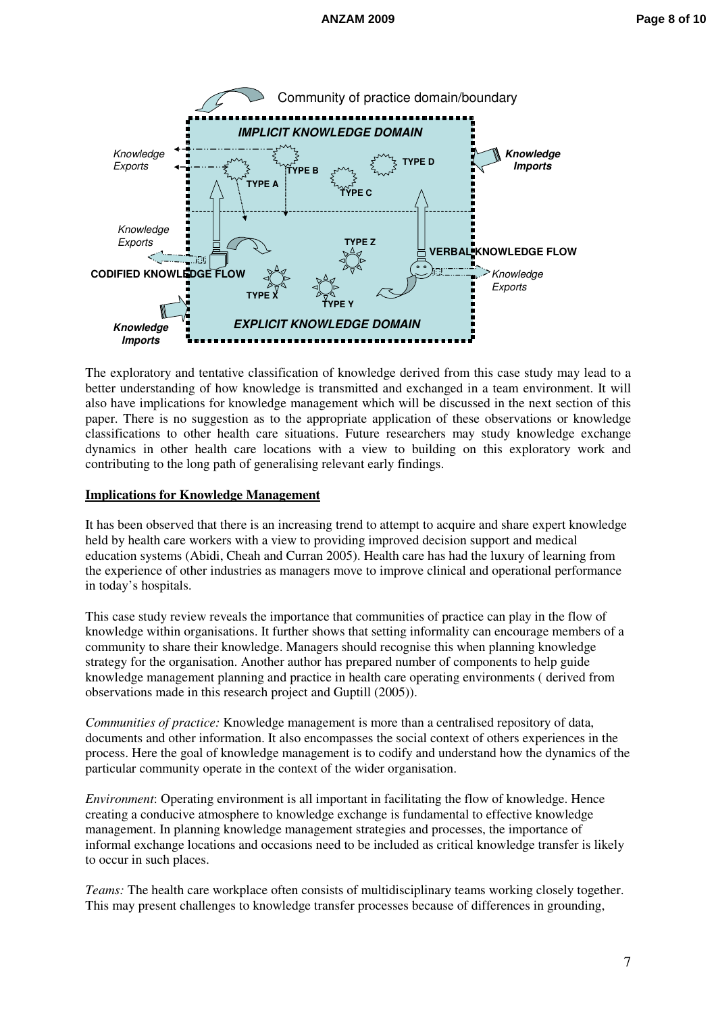

The exploratory and tentative classification of knowledge derived from this case study may lead to a better understanding of how knowledge is transmitted and exchanged in a team environment. It will also have implications for knowledge management which will be discussed in the next section of this paper. There is no suggestion as to the appropriate application of these observations or knowledge classifications to other health care situations. Future researchers may study knowledge exchange dynamics in other health care locations with a view to building on this exploratory work and contributing to the long path of generalising relevant early findings.

## **Implications for Knowledge Management**

It has been observed that there is an increasing trend to attempt to acquire and share expert knowledge held by health care workers with a view to providing improved decision support and medical education systems (Abidi, Cheah and Curran 2005). Health care has had the luxury of learning from the experience of other industries as managers move to improve clinical and operational performance in today's hospitals.

This case study review reveals the importance that communities of practice can play in the flow of knowledge within organisations. It further shows that setting informality can encourage members of a community to share their knowledge. Managers should recognise this when planning knowledge strategy for the organisation. Another author has prepared number of components to help guide knowledge management planning and practice in health care operating environments ( derived from observations made in this research project and Guptill (2005)).

*Communities of practice:* Knowledge management is more than a centralised repository of data, documents and other information. It also encompasses the social context of others experiences in the process. Here the goal of knowledge management is to codify and understand how the dynamics of the particular community operate in the context of the wider organisation.

*Environment*: Operating environment is all important in facilitating the flow of knowledge. Hence creating a conducive atmosphere to knowledge exchange is fundamental to effective knowledge management. In planning knowledge management strategies and processes, the importance of informal exchange locations and occasions need to be included as critical knowledge transfer is likely to occur in such places.

*Teams:* The health care workplace often consists of multidisciplinary teams working closely together. This may present challenges to knowledge transfer processes because of differences in grounding,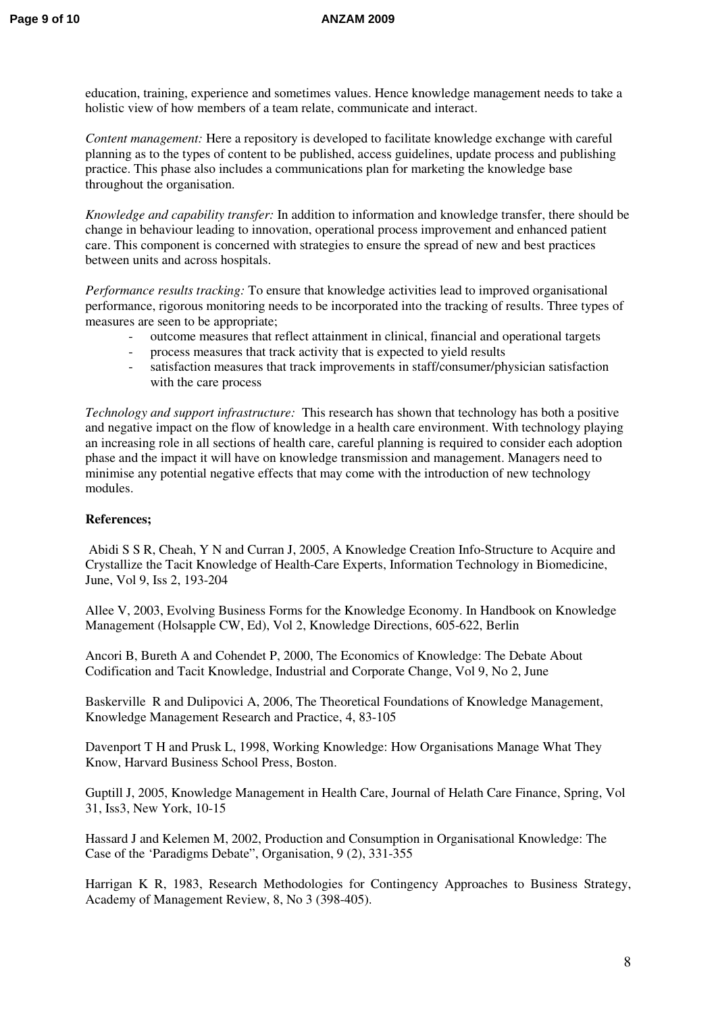education, training, experience and sometimes values. Hence knowledge management needs to take a holistic view of how members of a team relate, communicate and interact.

*Content management:* Here a repository is developed to facilitate knowledge exchange with careful planning as to the types of content to be published, access guidelines, update process and publishing practice. This phase also includes a communications plan for marketing the knowledge base throughout the organisation.

*Knowledge and capability transfer:* In addition to information and knowledge transfer, there should be change in behaviour leading to innovation, operational process improvement and enhanced patient care. This component is concerned with strategies to ensure the spread of new and best practices between units and across hospitals.

*Performance results tracking:* To ensure that knowledge activities lead to improved organisational performance, rigorous monitoring needs to be incorporated into the tracking of results. Three types of measures are seen to be appropriate;

- outcome measures that reflect attainment in clinical, financial and operational targets
- process measures that track activity that is expected to yield results
- satisfaction measures that track improvements in staff/consumer/physician satisfaction with the care process

*Technology and support infrastructure:* This research has shown that technology has both a positive and negative impact on the flow of knowledge in a health care environment. With technology playing an increasing role in all sections of health care, careful planning is required to consider each adoption phase and the impact it will have on knowledge transmission and management. Managers need to minimise any potential negative effects that may come with the introduction of new technology modules.

## **References;**

 Abidi S S R, Cheah, Y N and Curran J, 2005, A Knowledge Creation Info-Structure to Acquire and Crystallize the Tacit Knowledge of Health-Care Experts, Information Technology in Biomedicine, June, Vol 9, Iss 2, 193-204

Allee V, 2003, Evolving Business Forms for the Knowledge Economy. In Handbook on Knowledge Management (Holsapple CW, Ed), Vol 2, Knowledge Directions, 605-622, Berlin

Ancori B, Bureth A and Cohendet P, 2000, The Economics of Knowledge: The Debate About Codification and Tacit Knowledge, Industrial and Corporate Change, Vol 9, No 2, June

Baskerville R and Dulipovici A, 2006, The Theoretical Foundations of Knowledge Management, Knowledge Management Research and Practice, 4, 83-105

Davenport T H and Prusk L, 1998, Working Knowledge: How Organisations Manage What They Know, Harvard Business School Press, Boston.

Guptill J, 2005, Knowledge Management in Health Care, Journal of Helath Care Finance, Spring, Vol 31, Iss3, New York, 10-15

Hassard J and Kelemen M, 2002, Production and Consumption in Organisational Knowledge: The Case of the 'Paradigms Debate", Organisation, 9 (2), 331-355

Harrigan K R, 1983, Research Methodologies for Contingency Approaches to Business Strategy, Academy of Management Review, 8, No 3 (398-405).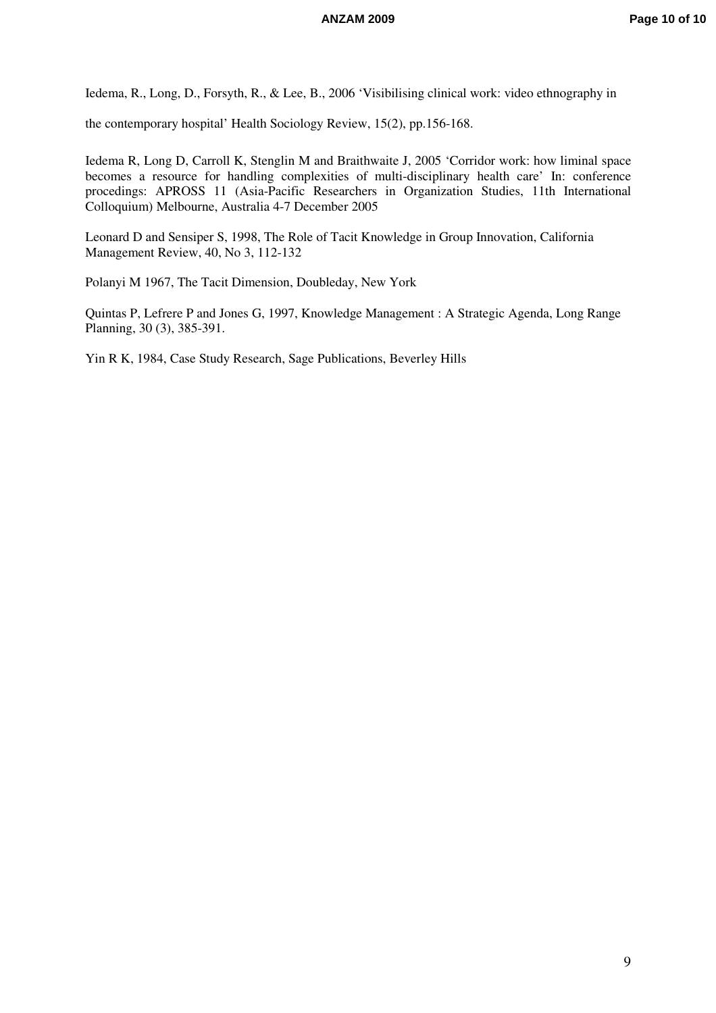Iedema, R., Long, D., Forsyth, R., & Lee, B., 2006 'Visibilising clinical work: video ethnography in

the contemporary hospital' Health Sociology Review, 15(2), pp.156-168.

Iedema R, Long D, Carroll K, Stenglin M and Braithwaite J, 2005 'Corridor work: how liminal space becomes a resource for handling complexities of multi-disciplinary health care' In: conference procedings: APROSS 11 (Asia-Pacific Researchers in Organization Studies, 11th International Colloquium) Melbourne, Australia 4-7 December 2005

Leonard D and Sensiper S, 1998, The Role of Tacit Knowledge in Group Innovation, California Management Review, 40, No 3, 112-132

Polanyi M 1967, The Tacit Dimension, Doubleday, New York

Quintas P, Lefrere P and Jones G, 1997, Knowledge Management : A Strategic Agenda, Long Range Planning, 30 (3), 385-391.

Yin R K, 1984, Case Study Research, Sage Publications, Beverley Hills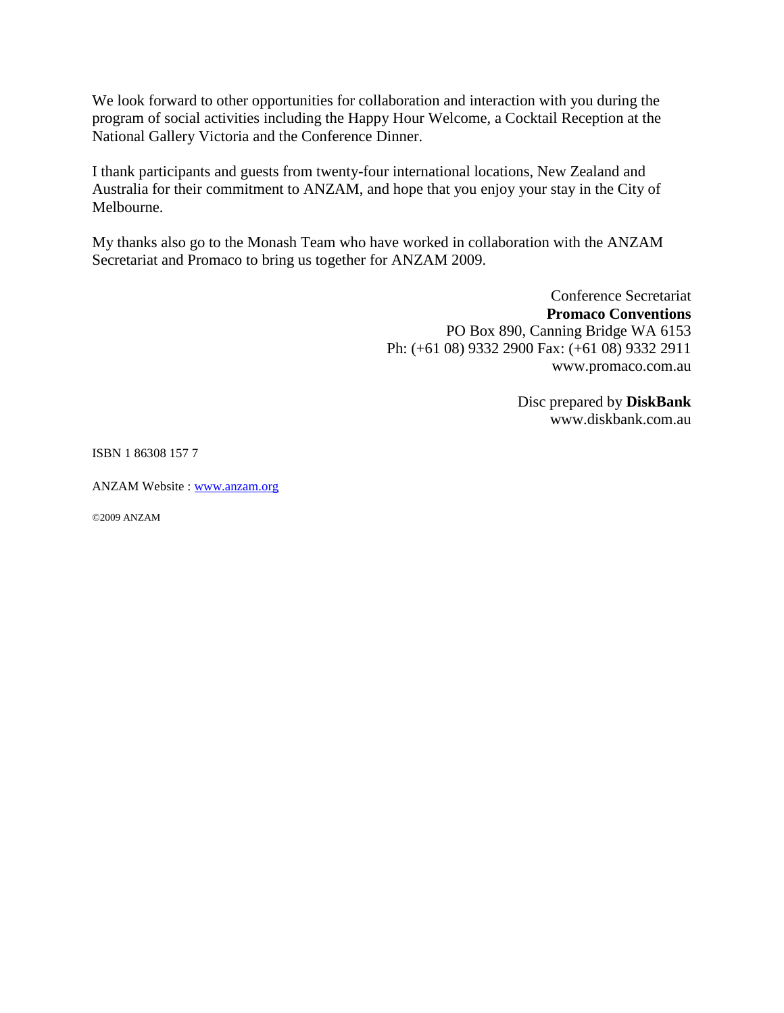We look forward to other opportunities for collaboration and interaction with you during the program of social activities including the Happy Hour Welcome, a Cocktail Reception at the National Gallery Victoria and the Conference Dinner.

I thank participants and guests from twenty-four international locations, New Zealand and Australia for their commitment to ANZAM, and hope that you enjoy your stay in the City of Melbourne.

My thanks also go to the Monash Team who have worked in collaboration with the ANZAM Secretariat and Promaco to bring us together for ANZAM 2009.

> Conference Secretariat **Promaco Conventions**  PO Box 890, Canning Bridge WA 6153 Ph: (+61 08) 9332 2900 Fax: (+61 08) 9332 2911 www.promaco.com.au

> > Disc prepared by **DiskBank** www.diskbank.com.au

ISBN 1 86308 157 7

ANZAM Website [: www.anzam.org](http://www.anzam.org/)

©2009 ANZAM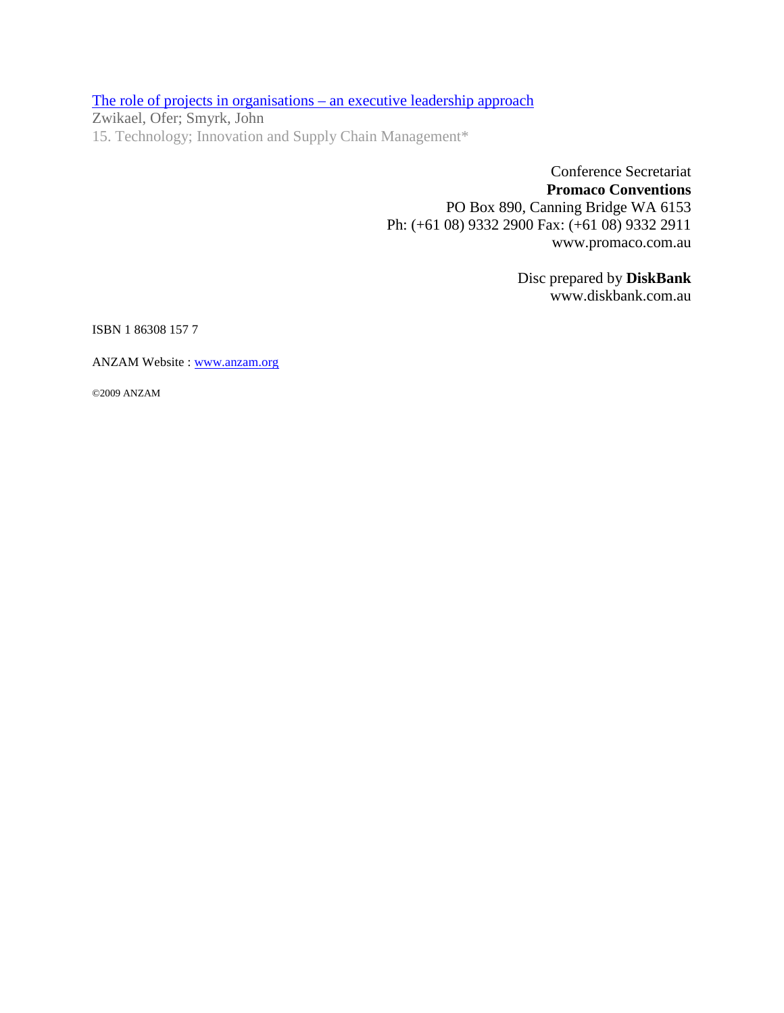The role of projects in organisations – an executive leadership approach

Zwikael, Ofer; Smyrk, John 15. Technology; Innovation and Supply Chain Management\*

> Conference Secretariat **Promaco Conventions**  PO Box 890, Canning Bridge WA 6153 Ph: (+61 08) 9332 2900 Fax: (+61 08) 9332 2911 www.promaco.com.au

> > Disc prepared by **DiskBank** www.diskbank.com.au

ISBN 1 86308 157 7

ANZAM Website [: www.anzam.org](http://www.anzam.org/)

©2009 ANZAM